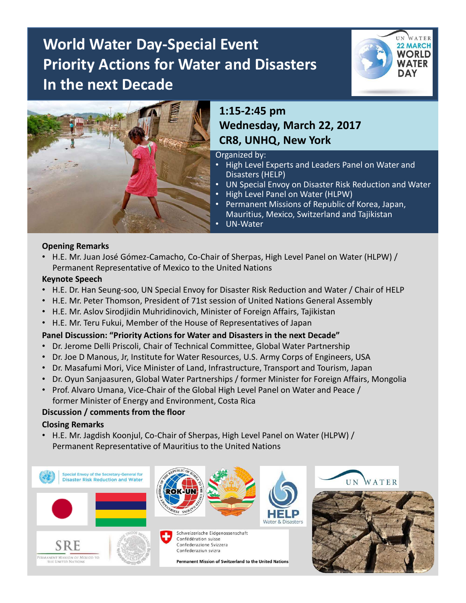# **World Water Day-Special Event Priority Actions for Water and Disasters In the next Decade**





# **1:15-2:45 pm Wednesday, March 22, 2017 CR8, UNHQ, New York**

Organized by:

- High Level Experts and Leaders Panel on Water and Disasters (HELP)
- UN Special Envoy on Disaster Risk Reduction and Water
- High Level Panel on Water (HLPW)
- Permanent Missions of Republic of Korea, Japan, Mauritius, Mexico, Switzerland and Tajikistan
- UN-Water

### **Opening Remarks**

• H.E. Mr. Juan José Gómez-Camacho, Co-Chair of Sherpas, High Level Panel on Water (HLPW) / Permanent Representative of Mexico to the United Nations

#### **Keynote Speech**

- H.E. Dr. Han Seung-soo, UN Special Envoy for Disaster Risk Reduction and Water / Chair of HELP
- H.E. Mr. Peter Thomson, President of 71st session of United Nations General Assembly
- H.E. Mr. Aslov Sirodjidin Muhridinovich, Minister of Foreign Affairs, Tajikistan
- H.E. Mr. Teru Fukui, Member of the House of Representatives of Japan

# **Panel Discussion: "Priority Actions for Water and Disasters in the next Decade"**

- Dr. Jerome Delli Priscoli, Chair of Technical Committee, Global Water Partnership
- Dr. Joe D Manous, Jr, Institute for Water Resources, U.S. Army Corps of Engineers, USA
- Dr. Masafumi Mori, Vice Minister of Land, Infrastructure, Transport and Tourism, Japan
- Dr. Oyun Sanjaasuren, Global Water Partnerships / former Minister for Foreign Affairs, Mongolia
- Prof. Alvaro Umana, Vice-Chair of the Global High Level Panel on Water and Peace / former Minister of Energy and Environment, Costa Rica

# **Discussion / comments from the floor**

### **Closing Remarks**

• H.E. Mr. Jagdish Koonjul, Co-Chair of Sherpas, High Level Panel on Water (HLPW) / Permanent Representative of Mauritius to the United Nations